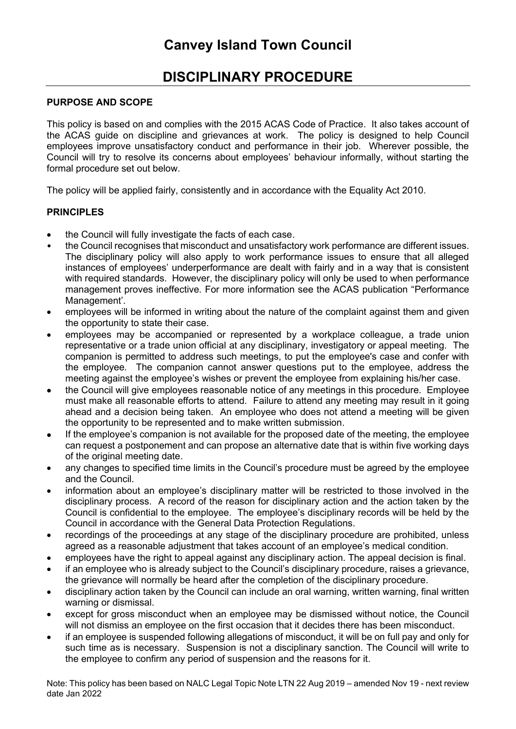# **DISCIPLINARY PROCEDURE**

## **PURPOSE AND SCOPE**

This policy is based on and complies with the 2015 ACAS Code of Practice. It also takes account of the ACAS guide on discipline and grievances at work. The policy is designed to help Council employees improve unsatisfactory conduct and performance in their job. Wherever possible, the Council will try to resolve its concerns about employees' behaviour informally, without starting the formal procedure set out below.

The policy will be applied fairly, consistently and in accordance with the Equality Act 2010.

## **PRINCIPLES**

- the Council will fully investigate the facts of each case.
- the Council recognises that misconduct and unsatisfactory work performance are different issues. The disciplinary policy will also apply to work performance issues to ensure that all alleged instances of employees' underperformance are dealt with fairly and in a way that is consistent with required standards. However, the disciplinary policy will only be used to when performance management proves ineffective. For more information see the ACAS publication "Performance Management'.
- employees will be informed in writing about the nature of the complaint against them and given the opportunity to state their case.
- employees may be accompanied or represented by a workplace colleague, a trade union representative or a trade union official at any disciplinary, investigatory or appeal meeting. The companion is permitted to address such meetings, to put the employee's case and confer with the employee. The companion cannot answer questions put to the employee, address the meeting against the employee's wishes or prevent the employee from explaining his/her case.
- the Council will give employees reasonable notice of any meetings in this procedure. Employee must make all reasonable efforts to attend. Failure to attend any meeting may result in it going ahead and a decision being taken. An employee who does not attend a meeting will be given the opportunity to be represented and to make written submission.
- If the employee's companion is not available for the proposed date of the meeting, the employee can request a postponement and can propose an alternative date that is within five working days of the original meeting date.
- any changes to specified time limits in the Council's procedure must be agreed by the employee and the Council.
- information about an employee's disciplinary matter will be restricted to those involved in the disciplinary process. A record of the reason for disciplinary action and the action taken by the Council is confidential to the employee. The employee's disciplinary records will be held by the Council in accordance with the General Data Protection Regulations.
- recordings of the proceedings at any stage of the disciplinary procedure are prohibited, unless agreed as a reasonable adjustment that takes account of an employee's medical condition.
- employees have the right to appeal against any disciplinary action. The appeal decision is final.
- if an employee who is already subject to the Council's disciplinary procedure, raises a grievance, the grievance will normally be heard after the completion of the disciplinary procedure.
- disciplinary action taken by the Council can include an oral warning, written warning, final written warning or dismissal.
- except for gross misconduct when an employee may be dismissed without notice, the Council will not dismiss an employee on the first occasion that it decides there has been misconduct.
- if an employee is suspended following allegations of misconduct, it will be on full pay and only for such time as is necessary. Suspension is not a disciplinary sanction. The Council will write to the employee to confirm any period of suspension and the reasons for it.

Note: This policy has been based on NALC Legal Topic Note LTN 22 Aug 2019 – amended Nov 19 - next review date Jan 2022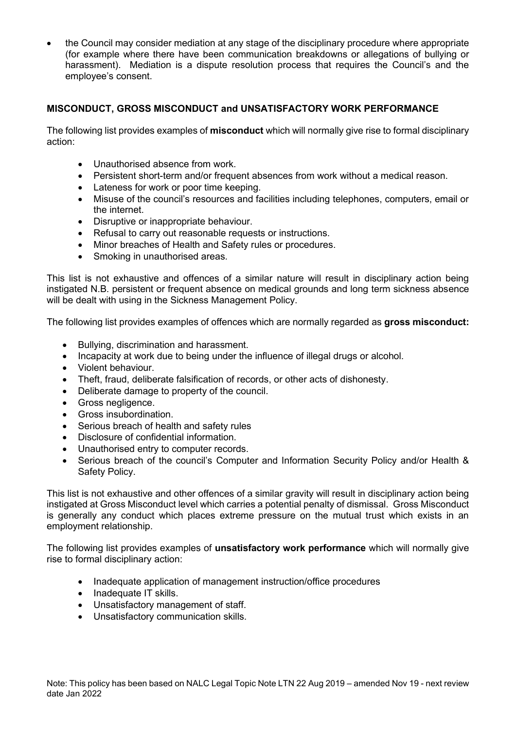• the Council may consider mediation at any stage of the disciplinary procedure where appropriate (for example where there have been communication breakdowns or allegations of bullying or harassment). Mediation is a dispute resolution process that requires the Council's and the employee's consent.

## **MISCONDUCT, GROSS MISCONDUCT and UNSATISFACTORY WORK PERFORMANCE**

The following list provides examples of **misconduct** which will normally give rise to formal disciplinary action:

- Unauthorised absence from work.
- Persistent short-term and/or frequent absences from work without a medical reason.
- Lateness for work or poor time keeping.
- Misuse of the council's resources and facilities including telephones, computers, email or the internet.
- Disruptive or inappropriate behaviour.
- Refusal to carry out reasonable requests or instructions.
- Minor breaches of Health and Safety rules or procedures.
- Smoking in unauthorised areas.

This list is not exhaustive and offences of a similar nature will result in disciplinary action being instigated N.B. persistent or frequent absence on medical grounds and long term sickness absence will be dealt with using in the Sickness Management Policy.

The following list provides examples of offences which are normally regarded as **gross misconduct:**

- Bullying, discrimination and harassment.
- Incapacity at work due to being under the influence of illegal drugs or alcohol.
- Violent behaviour.
- Theft, fraud, deliberate falsification of records, or other acts of dishonesty.
- Deliberate damage to property of the council.
- Gross negligence.
- Gross insubordination.
- Serious breach of health and safety rules
- Disclosure of confidential information.
- Unauthorised entry to computer records.
- Serious breach of the council's Computer and Information Security Policy and/or Health & Safety Policy.

This list is not exhaustive and other offences of a similar gravity will result in disciplinary action being instigated at Gross Misconduct level which carries a potential penalty of dismissal. Gross Misconduct is generally any conduct which places extreme pressure on the mutual trust which exists in an employment relationship.

The following list provides examples of **unsatisfactory work performance** which will normally give rise to formal disciplinary action:

- Inadequate application of management instruction/office procedures
- Inadequate IT skills.
- Unsatisfactory management of staff.
- Unsatisfactory communication skills.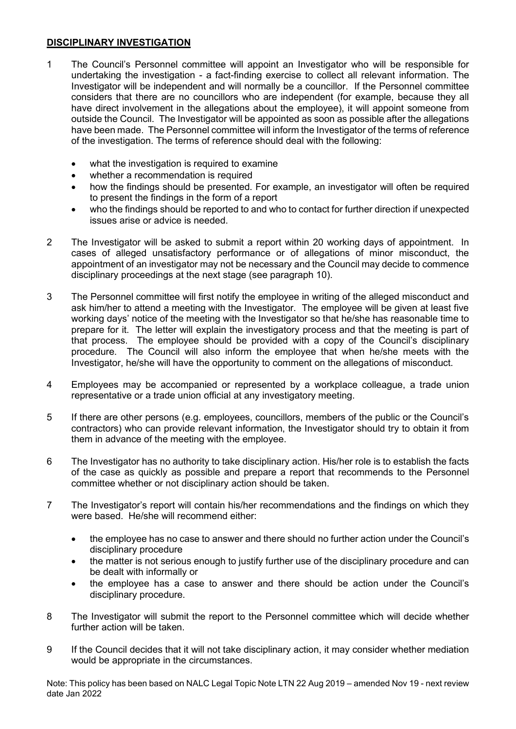## **DISCIPLINARY INVESTIGATION**

- 1 The Council's Personnel committee will appoint an Investigator who will be responsible for undertaking the investigation - a fact-finding exercise to collect all relevant information. The Investigator will be independent and will normally be a councillor. If the Personnel committee considers that there are no councillors who are independent (for example, because they all have direct involvement in the allegations about the employee), it will appoint someone from outside the Council. The Investigator will be appointed as soon as possible after the allegations have been made. The Personnel committee will inform the Investigator of the terms of reference of the investigation. The terms of reference should deal with the following:
	- what the investigation is required to examine
	- whether a recommendation is required
	- how the findings should be presented. For example, an investigator will often be required to present the findings in the form of a report
	- who the findings should be reported to and who to contact for further direction if unexpected issues arise or advice is needed.
- 2 The Investigator will be asked to submit a report within 20 working days of appointment. In cases of alleged unsatisfactory performance or of allegations of minor misconduct, the appointment of an investigator may not be necessary and the Council may decide to commence disciplinary proceedings at the next stage (see paragraph 10).
- 3 The Personnel committee will first notify the employee in writing of the alleged misconduct and ask him/her to attend a meeting with the Investigator. The employee will be given at least five working days' notice of the meeting with the Investigator so that he/she has reasonable time to prepare for it. The letter will explain the investigatory process and that the meeting is part of that process. The employee should be provided with a copy of the Council's disciplinary procedure. The Council will also inform the employee that when he/she meets with the Investigator, he/she will have the opportunity to comment on the allegations of misconduct.
- 4 Employees may be accompanied or represented by a workplace colleague, a trade union representative or a trade union official at any investigatory meeting.
- 5 If there are other persons (e.g. employees, councillors, members of the public or the Council's contractors) who can provide relevant information, the Investigator should try to obtain it from them in advance of the meeting with the employee.
- 6 The Investigator has no authority to take disciplinary action. His/her role is to establish the facts of the case as quickly as possible and prepare a report that recommends to the Personnel committee whether or not disciplinary action should be taken.
- 7 The Investigator's report will contain his/her recommendations and the findings on which they were based. He/she will recommend either:
	- the employee has no case to answer and there should no further action under the Council's disciplinary procedure
	- the matter is not serious enough to justify further use of the disciplinary procedure and can be dealt with informally or
	- the employee has a case to answer and there should be action under the Council's disciplinary procedure.
- 8 The Investigator will submit the report to the Personnel committee which will decide whether further action will be taken.
- 9 If the Council decides that it will not take disciplinary action, it may consider whether mediation would be appropriate in the circumstances.

Note: This policy has been based on NALC Legal Topic Note LTN 22 Aug 2019 – amended Nov 19 - next review date Jan 2022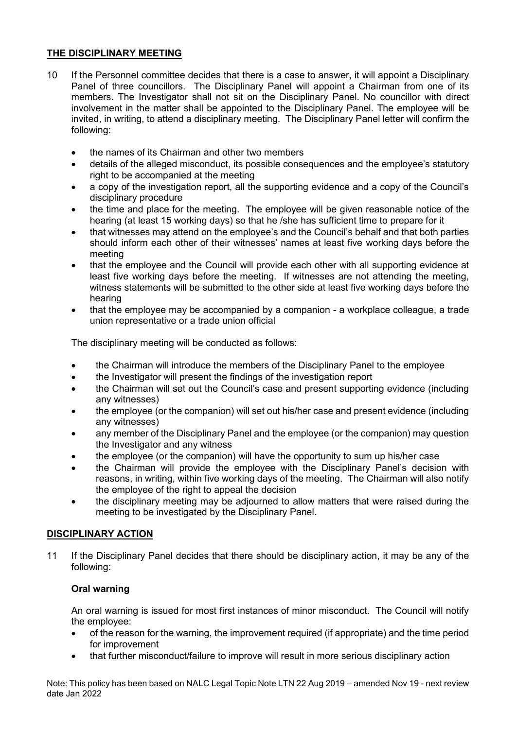## **THE DISCIPLINARY MEETING**

- 10 If the Personnel committee decides that there is a case to answer, it will appoint a Disciplinary Panel of three councillors. The Disciplinary Panel will appoint a Chairman from one of its members. The Investigator shall not sit on the Disciplinary Panel. No councillor with direct involvement in the matter shall be appointed to the Disciplinary Panel. The employee will be invited, in writing, to attend a disciplinary meeting. The Disciplinary Panel letter will confirm the following:
	- the names of its Chairman and other two members
	- details of the alleged misconduct, its possible consequences and the employee's statutory right to be accompanied at the meeting
	- a copy of the investigation report, all the supporting evidence and a copy of the Council's disciplinary procedure
	- the time and place for the meeting. The employee will be given reasonable notice of the hearing (at least 15 working days) so that he /she has sufficient time to prepare for it
	- that witnesses may attend on the employee's and the Council's behalf and that both parties should inform each other of their witnesses' names at least five working days before the meeting
	- that the employee and the Council will provide each other with all supporting evidence at least five working days before the meeting. If witnesses are not attending the meeting, witness statements will be submitted to the other side at least five working days before the hearing
	- that the employee may be accompanied by a companion a workplace colleague, a trade union representative or a trade union official

The disciplinary meeting will be conducted as follows:

- the Chairman will introduce the members of the Disciplinary Panel to the employee
- the Investigator will present the findings of the investigation report
- the Chairman will set out the Council's case and present supporting evidence (including any witnesses)
- the employee (or the companion) will set out his/her case and present evidence (including any witnesses)
- any member of the Disciplinary Panel and the employee (or the companion) may question the Investigator and any witness
- the employee (or the companion) will have the opportunity to sum up his/her case
- the Chairman will provide the employee with the Disciplinary Panel's decision with reasons, in writing, within five working days of the meeting. The Chairman will also notify the employee of the right to appeal the decision
- the disciplinary meeting may be adjourned to allow matters that were raised during the meeting to be investigated by the Disciplinary Panel.

## **DISCIPLINARY ACTION**

11 If the Disciplinary Panel decides that there should be disciplinary action, it may be any of the following:

## **Oral warning**

An oral warning is issued for most first instances of minor misconduct. The Council will notify the employee:

- of the reason for the warning, the improvement required (if appropriate) and the time period for improvement
- that further misconduct/failure to improve will result in more serious disciplinary action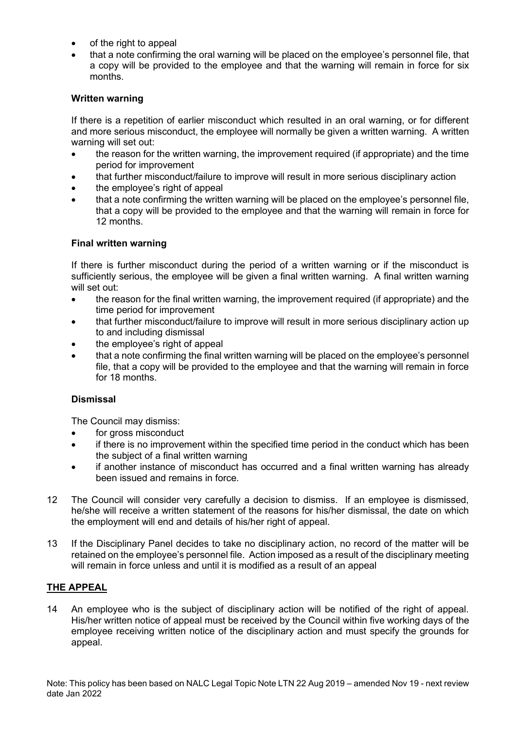- of the right to appeal
- that a note confirming the oral warning will be placed on the employee's personnel file, that a copy will be provided to the employee and that the warning will remain in force for six months.

## **Written warning**

If there is a repetition of earlier misconduct which resulted in an oral warning, or for different and more serious misconduct, the employee will normally be given a written warning. A written warning will set out:

- the reason for the written warning, the improvement required (if appropriate) and the time period for improvement
- that further misconduct/failure to improve will result in more serious disciplinary action
- the employee's right of appeal
- that a note confirming the written warning will be placed on the employee's personnel file, that a copy will be provided to the employee and that the warning will remain in force for 12 months.

## **Final written warning**

If there is further misconduct during the period of a written warning or if the misconduct is sufficiently serious, the employee will be given a final written warning. A final written warning will set out:

- the reason for the final written warning, the improvement required (if appropriate) and the time period for improvement
- that further misconduct/failure to improve will result in more serious disciplinary action up to and including dismissal
- the employee's right of appeal
- that a note confirming the final written warning will be placed on the employee's personnel file, that a copy will be provided to the employee and that the warning will remain in force for 18 months.

## **Dismissal**

The Council may dismiss:

- for gross misconduct
- if there is no improvement within the specified time period in the conduct which has been the subject of a final written warning
- if another instance of misconduct has occurred and a final written warning has already been issued and remains in force.
- 12 The Council will consider very carefully a decision to dismiss. If an employee is dismissed, he/she will receive a written statement of the reasons for his/her dismissal, the date on which the employment will end and details of his/her right of appeal.
- 13 If the Disciplinary Panel decides to take no disciplinary action, no record of the matter will be retained on the employee's personnel file. Action imposed as a result of the disciplinary meeting will remain in force unless and until it is modified as a result of an appeal

## **THE APPEAL**

14 An employee who is the subject of disciplinary action will be notified of the right of appeal. His/her written notice of appeal must be received by the Council within five working days of the employee receiving written notice of the disciplinary action and must specify the grounds for appeal.